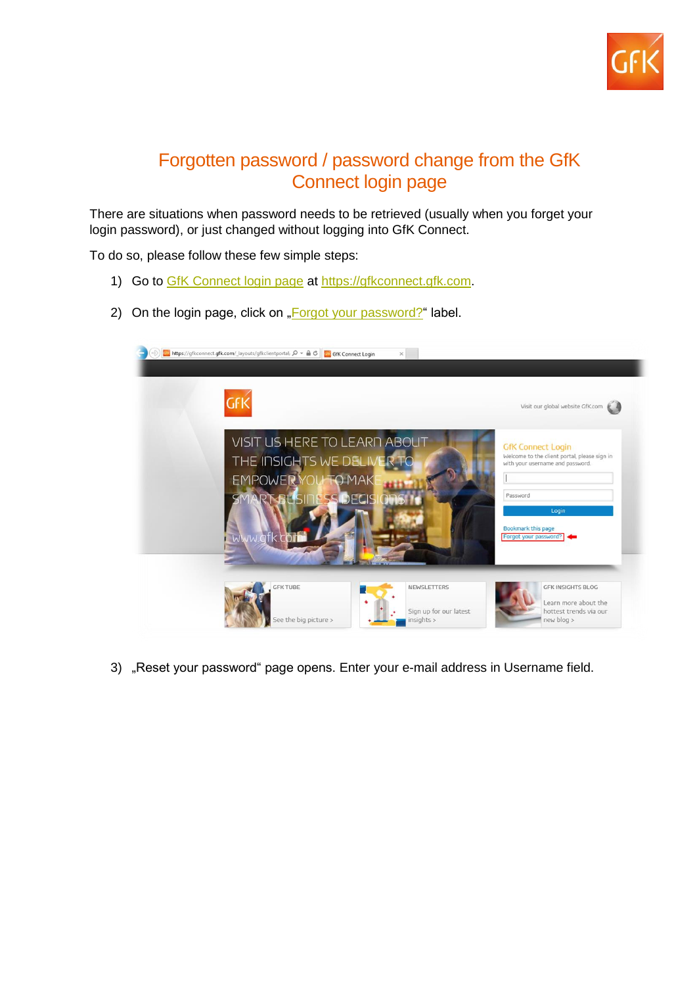

## Forgotten password / password change from the GfK Connect login page

There are situations when password needs to be retrieved (usually when you forget your login password), or just changed without logging into GfK Connect.

To do so, please follow these few simple steps:

- 1) Go to [GfK Connect login page](https://gfkconnect.gfk.com/) at [https://gfkconnect.gfk.com.](https://gfkconnect.gfk.com/)
- 2) On the login page, click on ["Forgot your password?"](https://ws.insight.gfk.com/gfkconnectpasswordreset/reset.aspx) label.



3) "Reset your password" page opens. Enter your e-mail address in Username field.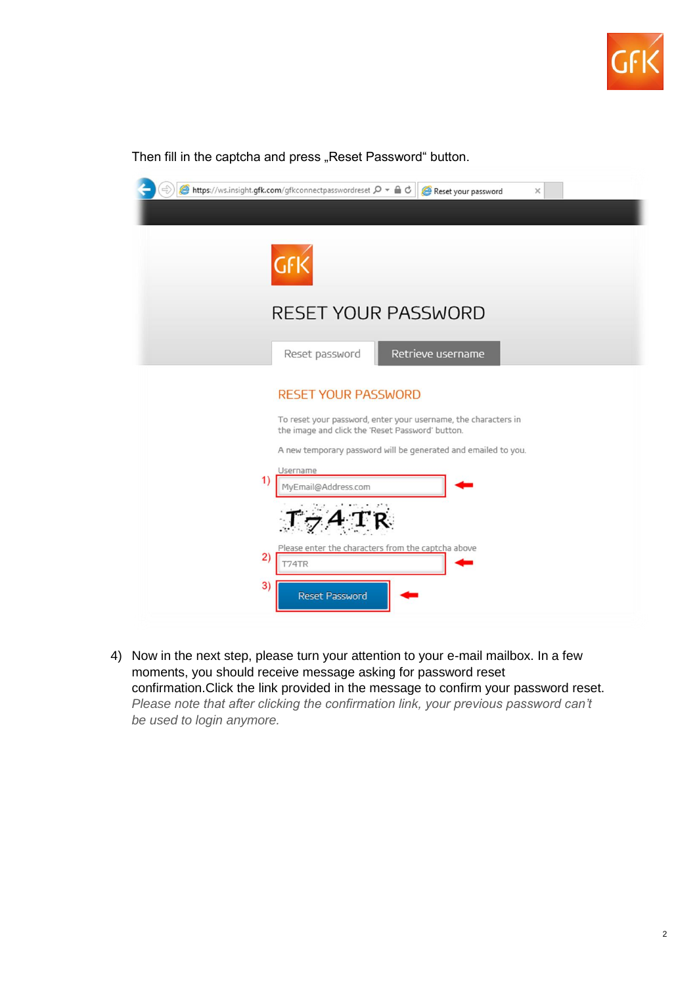

| $\Rightarrow$<br>B https://ws.insight.gfk.com/gfkconnectpasswordreset Q → A C<br>Reset your password<br>$\times$                                                                                                   |
|--------------------------------------------------------------------------------------------------------------------------------------------------------------------------------------------------------------------|
| GFK                                                                                                                                                                                                                |
| <b>RESET YOUR PASSWORD</b>                                                                                                                                                                                         |
| Retrieve username<br>Reset password                                                                                                                                                                                |
| <b>RESET YOUR PASSWORD</b><br>To reset your password, enter your username, the characters in<br>the image and click the 'Reset Password' button.<br>A new temporary password will be generated and emailed to you. |
| Username<br>1)<br>MyEmail@Address.com                                                                                                                                                                              |
| Please enter the characters from the captcha above<br>2)<br>T74TR<br>3)<br><b>Reset Password</b>                                                                                                                   |

4) Now in the next step, please turn your attention to your e-mail mailbox. In a few moments, you should receive message asking for password reset confirmation.Click the link provided in the message to confirm your password reset. *Please note that after clicking the confirmation link, your previous password can't be used to login anymore.*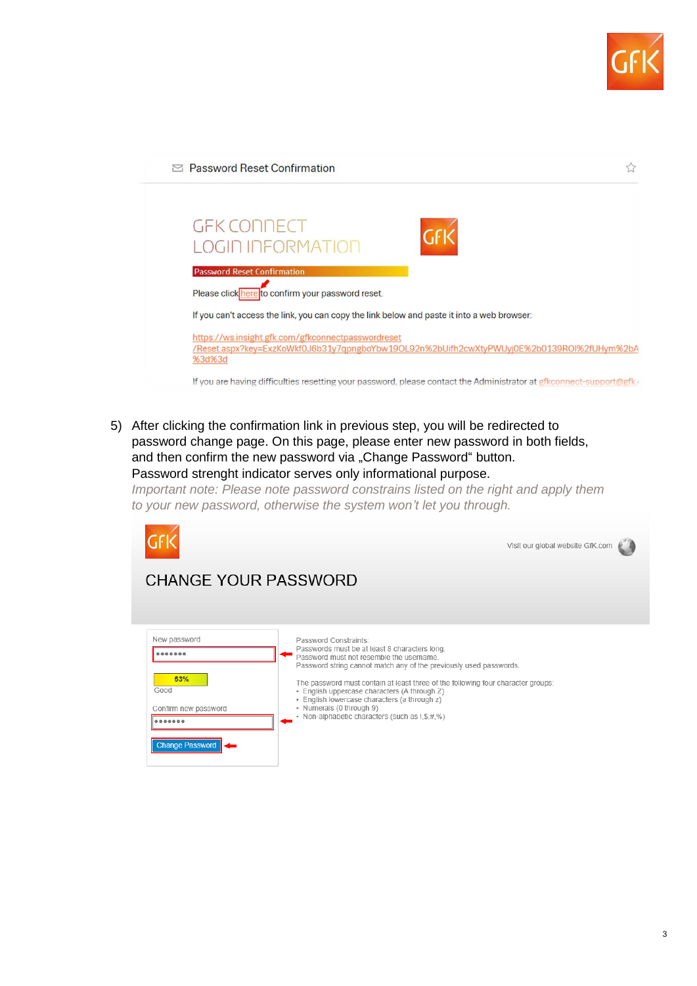



5) After clicking the confirmation link in previous step, you will be redirected to password change page. On this page, please enter new password in both fields, and then confirm the new password via "Change Password" button. Password strenght indicator serves only informational purpose.

*Important note: Please note password constrains listed on the right and apply them to your new password, otherwise the system won't let you through.*